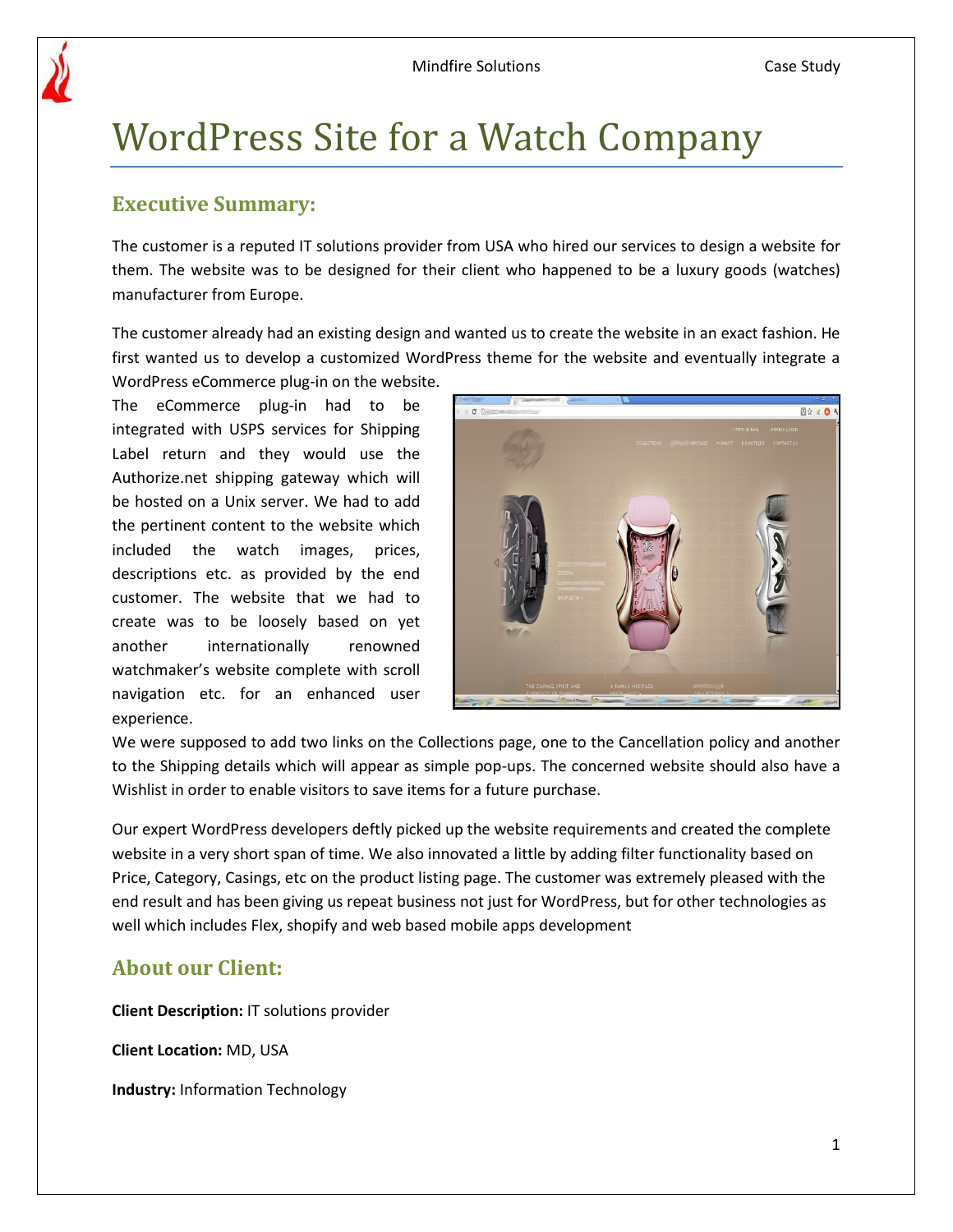

# WordPress Site for a Watch Company

# **Executive Summary:**

The customer is a reputed IT solutions provider from USA who hired our services to design a website for them. The website was to be designed for their client who happened to be a luxury goods (watches) manufacturer from Europe.

The customer already had an existing design and wanted us to create the website in an exact fashion. He first wanted us to develop a customized WordPress theme for the website and eventually integrate a

WordPress eCommerce plug-in on the website. The eCommerce plug-in had to be integrated with USPS services for Shipping Label return and they would use the Authorize.net shipping gateway which will be hosted on a Unix server. We had to add the pertinent content to the website which included the watch images, prices, descriptions etc. as provided by the end customer. The website that we had to create was to be loosely based on yet another internationally renowned watchmaker's website complete with scroll navigation etc. for an enhanced user experience.



We were supposed to add two links on the Collections page, one to the Cancellation policy and another to the Shipping details which will appear as simple pop-ups. The concerned website should also have a Wishlist in order to enable visitors to save items for a future purchase.

Our expert WordPress developers deftly picked up the website requirements and created the complete website in a very short span of time. We also innovated a little by adding filter functionality based on Price, Category, Casings, etc on the product listing page. The customer was extremely pleased with the end result and has been giving us repeat business not just for WordPress, but for other technologies as well which includes Flex, shopify and web based mobile apps development

# **About our Client:**

**Client Description:** IT solutions provider

**Client Location:** MD, USA

**Industry:** Information Technology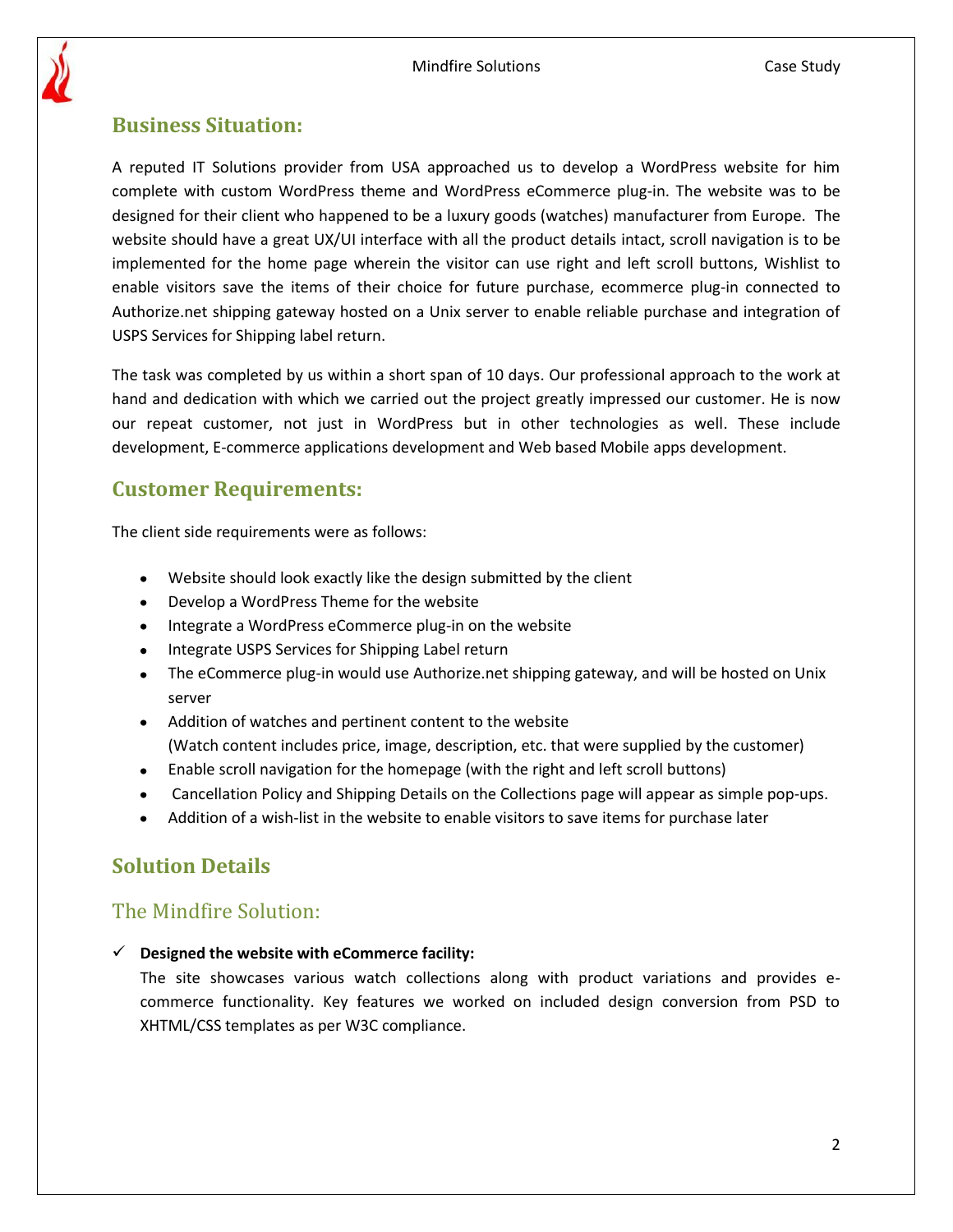

## **Business Situation:**

A reputed IT Solutions provider from USA approached us to develop a WordPress website for him complete with custom WordPress theme and WordPress eCommerce plug-in. The website was to be designed for their client who happened to be a luxury goods (watches) manufacturer from Europe. The website should have a great UX/UI interface with all the product details intact, scroll navigation is to be implemented for the home page wherein the visitor can use right and left scroll buttons, Wishlist to enable visitors save the items of their choice for future purchase, ecommerce plug-in connected to Authorize.net shipping gateway hosted on a Unix server to enable reliable purchase and integration of USPS Services for Shipping label return.

The task was completed by us within a short span of 10 days. Our professional approach to the work at hand and dedication with which we carried out the project greatly impressed our customer. He is now our repeat customer, not just in WordPress but in other technologies as well. These include development, E-commerce applications development and Web based Mobile apps development.

# **Customer Requirements:**

The client side requirements were as follows:

- Website should look exactly like the design submitted by the client
- Develop a WordPress Theme for the website
- Integrate a WordPress eCommerce plug-in on the website
- Integrate USPS Services for Shipping Label return
- The eCommerce plug-in would use Authorize.net shipping gateway, and will be hosted on Unix server
- Addition of watches and pertinent content to the website (Watch content includes price, image, description, etc. that were supplied by the customer)
- Enable scroll navigation for the homepage (with the right and left scroll buttons)
- Cancellation Policy and Shipping Details on the Collections page will appear as simple pop-ups.  $\bullet$
- Addition of a wish-list in the website to enable visitors to save items for purchase later

# **Solution Details**

# The Mindfire Solution:

**Designed the website with eCommerce facility:** 

The site showcases various watch collections along with product variations and provides ecommerce functionality. Key features we worked on included design conversion from PSD to XHTML/CSS templates as per W3C compliance.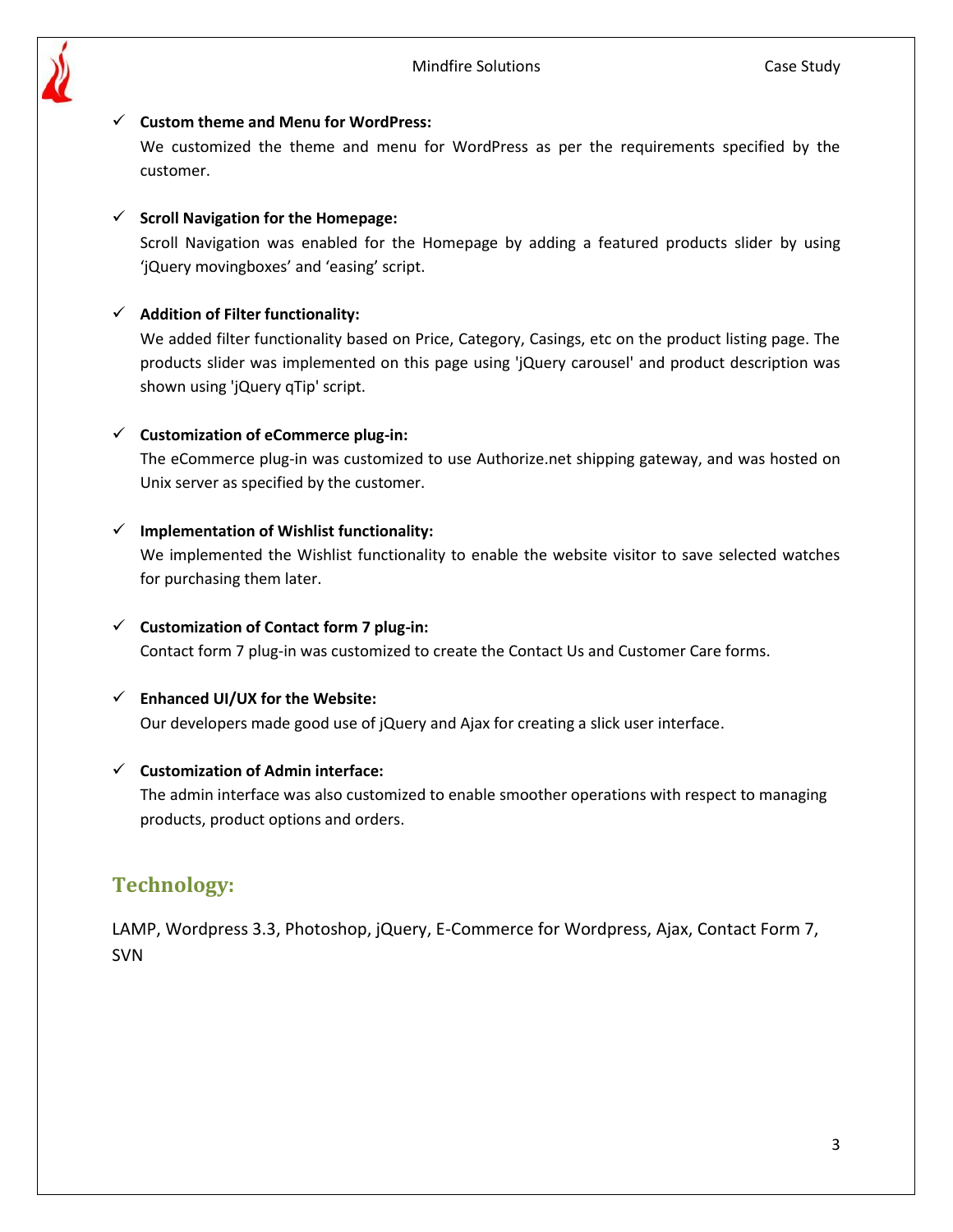

#### **Custom theme and Menu for WordPress:**

We customized the theme and menu for WordPress as per the requirements specified by the customer.

#### **Scroll Navigation for the Homepage:**

Scroll Navigation was enabled for the Homepage by adding a featured products slider by using 'jQuery movingboxes' and 'easing' script.

#### **Addition of Filter functionality:**

We added filter functionality based on Price, Category, Casings, etc on the product listing page. The products slider was implemented on this page using 'jQuery carousel' and product description was shown using 'jQuery qTip' script.

#### **Customization of eCommerce plug-in:**

The eCommerce plug-in was customized to use Authorize.net shipping gateway, and was hosted on Unix server as specified by the customer.

#### **Implementation of Wishlist functionality:**

We implemented the Wishlist functionality to enable the website visitor to save selected watches for purchasing them later.

#### **Customization of Contact form 7 plug-in:**

Contact form 7 plug-in was customized to create the Contact Us and Customer Care forms.

#### **Enhanced UI/UX for the Website:**

Our developers made good use of jQuery and Ajax for creating a slick user interface.

#### **Customization of Admin interface:**

The admin interface was also customized to enable smoother operations with respect to managing products, product options and orders.

### **Technology:**

LAMP, Wordpress 3.3, Photoshop, jQuery, E-Commerce for Wordpress, Ajax, Contact Form 7, SVN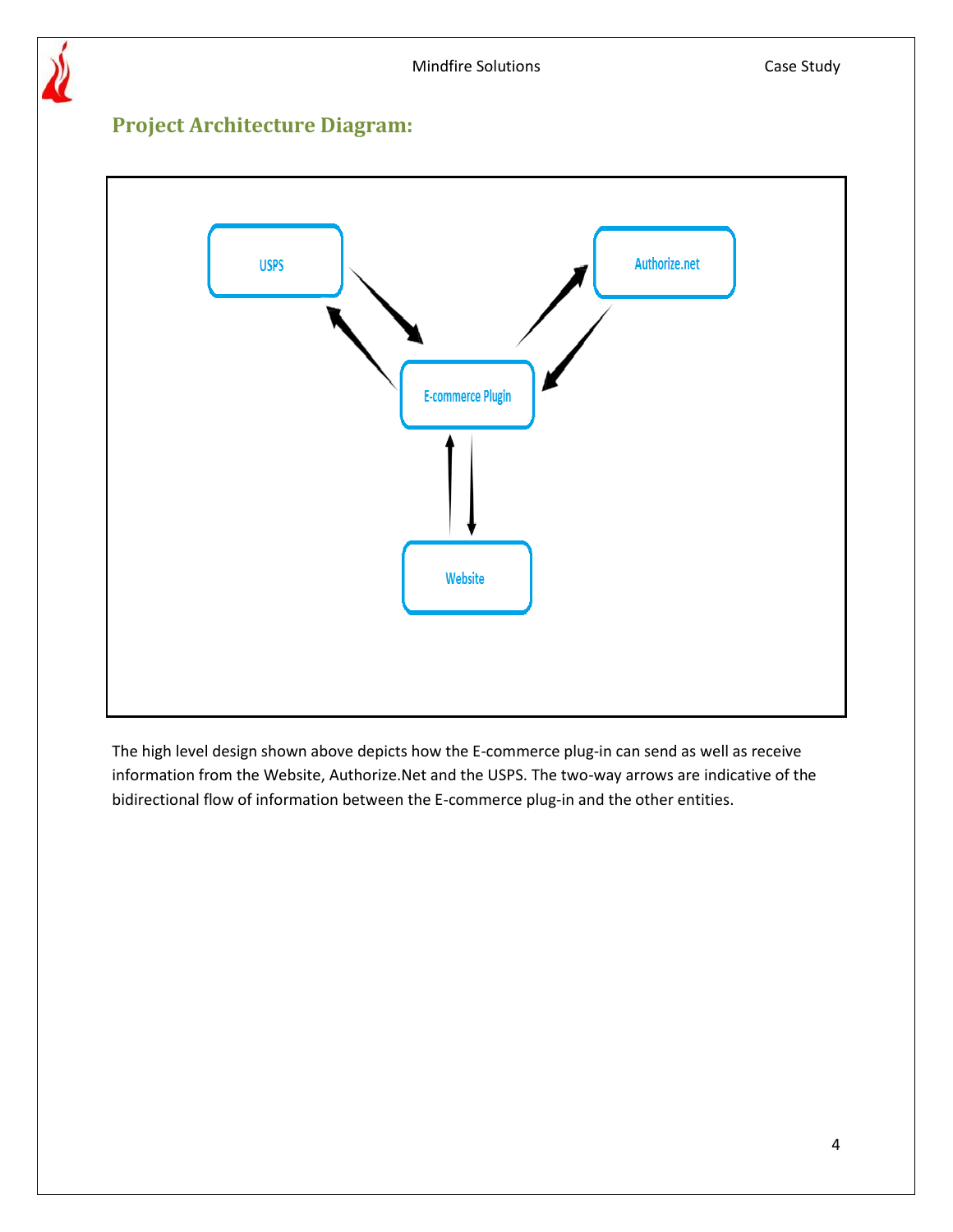

# **Project Architecture Diagram:**



The high level design shown above depicts how the E-commerce plug-in can send as well as receive information from the Website, Authorize.Net and the USPS. The two-way arrows are indicative of the bidirectional flow of information between the E-commerce plug-in and the other entities.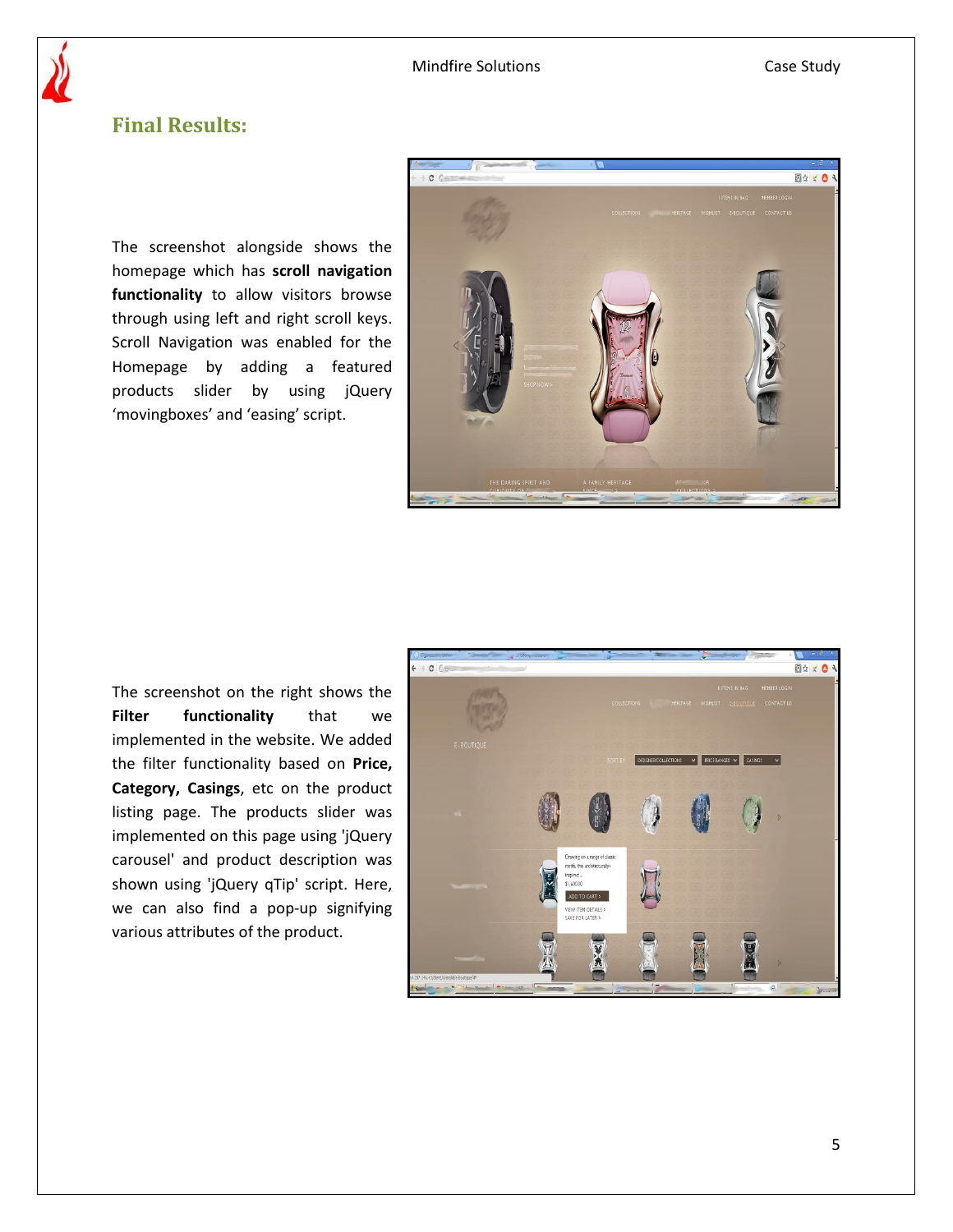# **Final Results:**

The screenshot alongside shows the homepage which has **scroll navigation functionality** to allow visitors browse through using left and right scroll keys. Scroll Navigation was enabled for the Homepage by adding a featured products slider by using jQuery 'movingboxes' and 'easing' script.



The screenshot on the right shows the **Filter functionality** that we implemented in the website. We added the filter functionality based on **Price, Category, Casings**, etc on the product listing page. The products slider was implemented on this page using 'jQuery carousel' and product description was shown using 'jQuery qTip' script. Here, we can also find a pop-up signifying various attributes of the product.

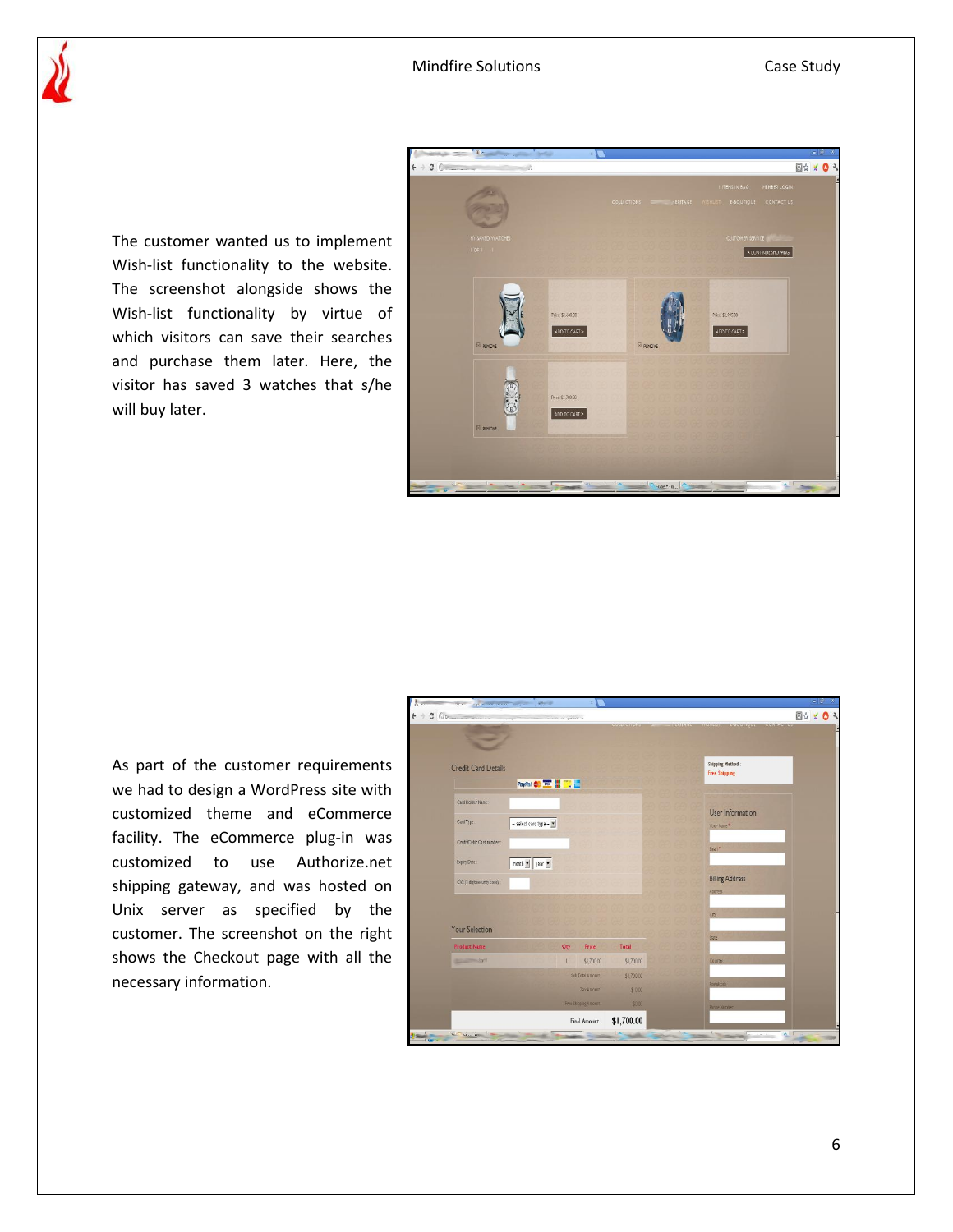The customer wanted us to implement Wish-list functionality to the website. The screenshot alongside shows the Wish-list functionality by virtue of which visitors can save their searches and purchase them later. Here, the visitor has saved 3 watches that s/he will buy later.



As part of the customer requirements we had to design a WordPress site with customized theme and eCommerce facility. The eCommerce plug-in was customized to use Authorize.net shipping gateway, and was hosted on Unix server as specified by the customer. The screenshot on the right shows the Checkout page with all the necessary information.

| $\frac{1}{\sqrt{2}}$ . The contract of $\frac{1}{\sqrt{2}}$ , $\frac{1}{\sqrt{2}}$ , $\frac{1}{\sqrt{2}}$ , $\frac{1}{\sqrt{2}}$<br>$C$ 0 |                      |                     |                                                                                                    | 图☆ × ◎ |
|-------------------------------------------------------------------------------------------------------------------------------------------|----------------------|---------------------|----------------------------------------------------------------------------------------------------|--------|
|                                                                                                                                           | and the company of   | <b>PERSONALISTS</b> | <b>REPEATELENTS</b><br><b>DESCRIPTION OF BUILDINGS</b><br><b><i><u><b>RESISTENTIAL</b></u></i></b> |        |
| ═                                                                                                                                         |                      |                     |                                                                                                    |        |
|                                                                                                                                           |                      |                     |                                                                                                    |        |
| <b>Credit Card Details</b>                                                                                                                |                      |                     | <b>Shipping Method:</b><br><b>Free Shipping</b>                                                    |        |
|                                                                                                                                           | PayPal & W # 1       |                     |                                                                                                    |        |
| Card Holder Name:                                                                                                                         |                      |                     |                                                                                                    |        |
| Card Type:                                                                                                                                | - select card type - |                     | User Information                                                                                   |        |
|                                                                                                                                           |                      |                     | Your Name *                                                                                        |        |
| Credit/Debit Card tumber :                                                                                                                |                      |                     | Engl <sup>*</sup>                                                                                  |        |
| month $\mathbf{v}$ year $\mathbf{v}$<br>Bipiny Date:                                                                                      |                      |                     |                                                                                                    |        |
| CV2 (3 digit security code)                                                                                                               |                      |                     | <b>Billing Address</b>                                                                             |        |
|                                                                                                                                           |                      |                     | Address:                                                                                           |        |
|                                                                                                                                           |                      |                     | City.                                                                                              |        |
| Your Selection                                                                                                                            |                      |                     |                                                                                                    |        |
| <b>Product Name</b>                                                                                                                       | Qty<br>Price         | Total               | State                                                                                              |        |
| $-240$                                                                                                                                    | \$1,700.00<br>T.     | \$1,700.00          | Country                                                                                            |        |
|                                                                                                                                           | Seb Total Amount:    | \$1,700.00          |                                                                                                    |        |
|                                                                                                                                           | Tax Amount:          | \$0.00              | Postalcode                                                                                         |        |
| Free Shipping Amount:                                                                                                                     |                      | 93.00               | Phote Number                                                                                       |        |
|                                                                                                                                           | Final Amount:        | \$1,700.00          |                                                                                                    |        |